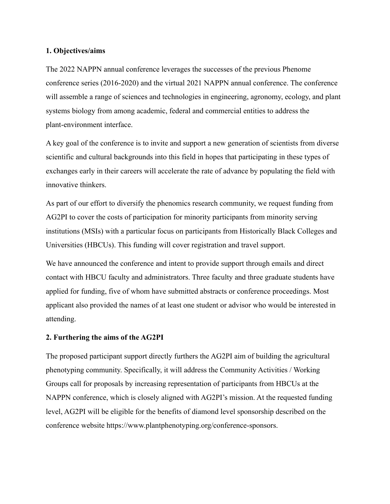### **1. Objectives/aims**

The 2022 NAPPN annual conference leverages the successes of the previous Phenome conference series (2016-2020) and the virtual 2021 NAPPN annual conference. The conference will assemble a range of sciences and technologies in engineering, agronomy, ecology, and plant systems biology from among academic, federal and commercial entities to address the plant-environment interface.

A key goal of the conference is to invite and support a new generation of scientists from diverse scientific and cultural backgrounds into this field in hopes that participating in these types of exchanges early in their careers will accelerate the rate of advance by populating the field with innovative thinkers.

As part of our effort to diversify the phenomics research community, we request funding from AG2PI to cover the costs of participation for minority participants from minority serving institutions (MSIs) with a particular focus on participants from Historically Black Colleges and Universities (HBCUs). This funding will cover registration and travel support.

We have announced the conference and intent to provide support through emails and direct contact with HBCU faculty and administrators. Three faculty and three graduate students have applied for funding, five of whom have submitted abstracts or conference proceedings. Most applicant also provided the names of at least one student or advisor who would be interested in attending.

# **2. Furthering the aims of the AG2PI**

The proposed participant support directly furthers the AG2PI aim of building the agricultural phenotyping community. Specifically, it will address the Community Activities / Working Groups call for proposals by increasing representation of participants from HBCUs at the NAPPN conference, which is closely aligned with AG2PI's mission. At the requested funding level, AG2PI will be eligible for the benefits of diamond level sponsorship described on the conference website https://www.plantphenotyping.org/conference-sponsors.